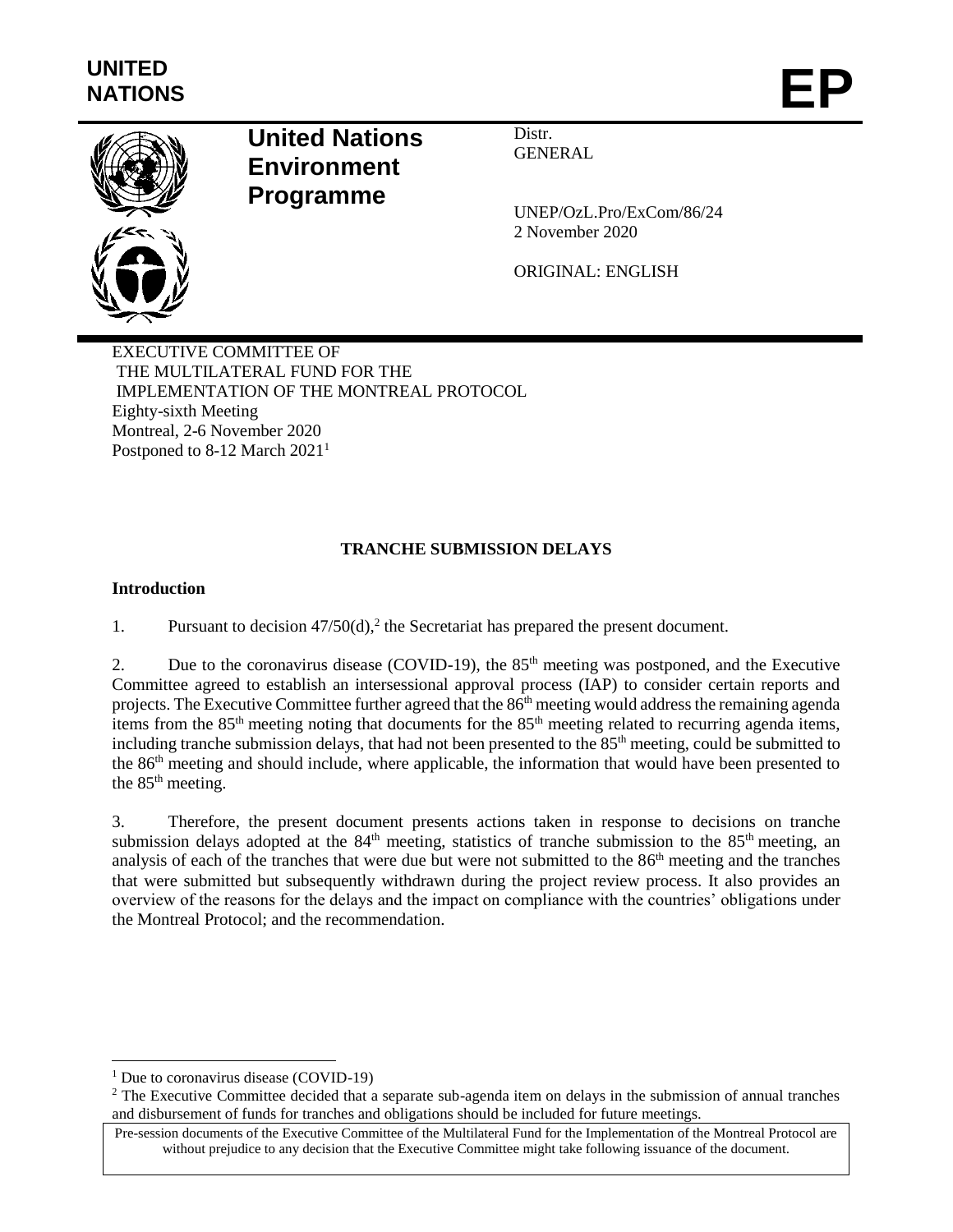

# **United Nations Environment Programme**

Distr. GENERAL

UNEP/OzL.Pro/ExCom/86/24 2 November 2020

ORIGINAL: ENGLISH

EXECUTIVE COMMITTEE OF THE MULTILATERAL FUND FOR THE IMPLEMENTATION OF THE MONTREAL PROTOCOL Eighty-sixth Meeting Montreal, 2-6 November 2020 Postponed to 8-12 March 2021<sup>1</sup>

# **TRANCHE SUBMISSION DELAYS**

## **Introduction**

1. Pursuant to decision  $47/50(d)$ , the Secretariat has prepared the present document.

2. Due to the coronavirus disease (COVID-19), the  $85<sup>th</sup>$  meeting was postponed, and the Executive Committee agreed to establish an intersessional approval process (IAP) to consider certain reports and projects. The Executive Committee further agreed that the 86<sup>th</sup> meeting would address the remaining agenda items from the 85<sup>th</sup> meeting noting that documents for the 85<sup>th</sup> meeting related to recurring agenda items, including tranche submission delays, that had not been presented to the 85<sup>th</sup> meeting, could be submitted to the 86th meeting and should include, where applicable, the information that would have been presented to the 85<sup>th</sup> meeting.

3. Therefore, the present document presents actions taken in response to decisions on tranche submission delays adopted at the  $84<sup>th</sup>$  meeting, statistics of tranche submission to the  $85<sup>th</sup>$  meeting, an analysis of each of the tranches that were due but were not submitted to the 86<sup>th</sup> meeting and the tranches that were submitted but subsequently withdrawn during the project review process. It also provides an overview of the reasons for the delays and the impact on compliance with the countries' obligations under the Montreal Protocol; and the recommendation.

 $\overline{a}$ 

<sup>&</sup>lt;sup>1</sup> Due to coronavirus disease (COVID-19)

<sup>&</sup>lt;sup>2</sup> The Executive Committee decided that a separate sub-agenda item on delays in the submission of annual tranches and disbursement of funds for tranches and obligations should be included for future meetings.

Pre-session documents of the Executive Committee of the Multilateral Fund for the Implementation of the Montreal Protocol are without prejudice to any decision that the Executive Committee might take following issuance of the document.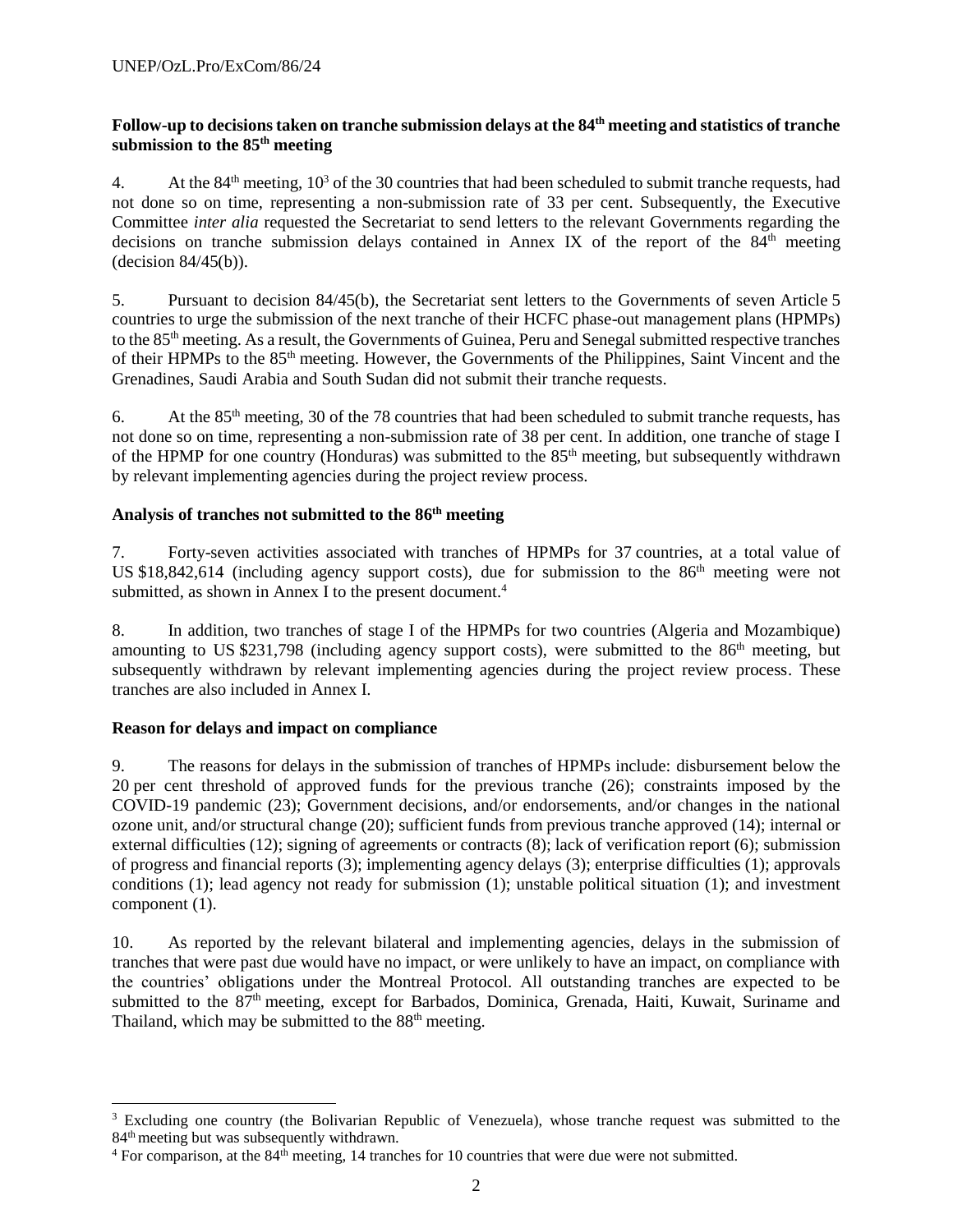## **Follow-up to decisions taken on tranche submission delays at the 84th meeting and statistics of tranche submission to the 85th meeting**

4. At the 84<sup>th</sup> meeting,  $10^3$  of the 30 countries that had been scheduled to submit tranche requests, had not done so on time, representing a non-submission rate of 33 per cent. Subsequently, the Executive Committee *inter alia* requested the Secretariat to send letters to the relevant Governments regarding the decisions on tranche submission delays contained in Annex IX of the report of the  $84<sup>th</sup>$  meeting (decision 84/45(b)).

5. Pursuant to decision 84/45(b), the Secretariat sent letters to the Governments of seven Article 5 countries to urge the submission of the next tranche of their HCFC phase-out management plans (HPMPs) to the 85th meeting. As a result, the Governments of Guinea, Peru and Senegal submitted respective tranches of their HPMPs to the 85<sup>th</sup> meeting. However, the Governments of the Philippines, Saint Vincent and the Grenadines, Saudi Arabia and South Sudan did not submit their tranche requests.

6. At the  $85<sup>th</sup>$  meeting, 30 of the 78 countries that had been scheduled to submit tranche requests, has not done so on time, representing a non-submission rate of 38 per cent. In addition, one tranche of stage I of the HPMP for one country (Honduras) was submitted to the  $85<sup>th</sup>$  meeting, but subsequently withdrawn by relevant implementing agencies during the project review process.

## **Analysis of tranches not submitted to the 86 th meeting**

7. Forty-seven activities associated with tranches of HPMPs for 37 countries, at a total value of US \$18,842,614 (including agency support costs), due for submission to the 86<sup>th</sup> meeting were not submitted, as shown in Annex I to the present document.<sup>4</sup>

8. In addition, two tranches of stage I of the HPMPs for two countries (Algeria and Mozambique) amounting to US \$231,798 (including agency support costs), were submitted to the 86<sup>th</sup> meeting, but subsequently withdrawn by relevant implementing agencies during the project review process. These tranches are also included in Annex I.

# **Reason for delays and impact on compliance**

l

9. The reasons for delays in the submission of tranches of HPMPs include: disbursement below the 20 per cent threshold of approved funds for the previous tranche (26); constraints imposed by the COVID-19 pandemic (23); Government decisions, and/or endorsements, and/or changes in the national ozone unit, and/or structural change (20); sufficient funds from previous tranche approved (14); internal or external difficulties (12); signing of agreements or contracts (8); lack of verification report (6); submission of progress and financial reports (3); implementing agency delays (3); enterprise difficulties (1); approvals conditions (1); lead agency not ready for submission (1); unstable political situation (1); and investment component (1).

10. As reported by the relevant bilateral and implementing agencies, delays in the submission of tranches that were past due would have no impact, or were unlikely to have an impact, on compliance with the countries' obligations under the Montreal Protocol. All outstanding tranches are expected to be submitted to the 87<sup>th</sup> meeting, except for Barbados, Dominica, Grenada, Haiti, Kuwait, Suriname and Thailand, which may be submitted to the 88<sup>th</sup> meeting.

<sup>&</sup>lt;sup>3</sup> Excluding one country (the Bolivarian Republic of Venezuela), whose tranche request was submitted to the 84<sup>th</sup> meeting but was subsequently withdrawn.

<sup>&</sup>lt;sup>4</sup> For comparison, at the 84<sup>th</sup> meeting, 14 tranches for 10 countries that were due were not submitted.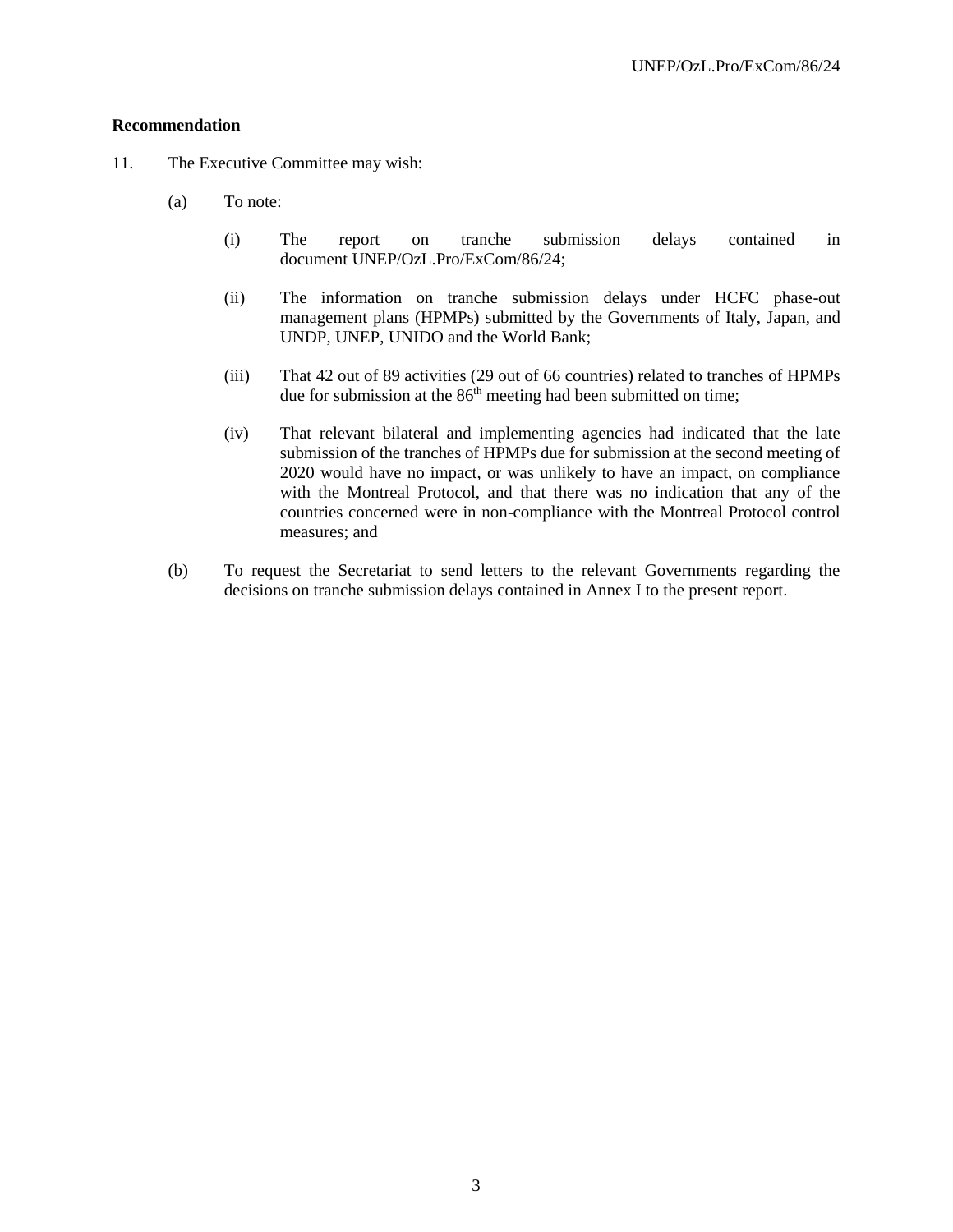#### **Recommendation**

- 11. The Executive Committee may wish:
	- (a) To note:
		- (i) The report on tranche submission delays contained in document UNEP/OzL.Pro/ExCom/86/24;
		- (ii) The information on tranche submission delays under HCFC phase-out management plans (HPMPs) submitted by the Governments of Italy, Japan, and UNDP, UNEP, UNIDO and the World Bank;
		- (iii) That 42 out of 89 activities (29 out of 66 countries) related to tranches of HPMPs due for submission at the 86<sup>th</sup> meeting had been submitted on time;
		- (iv) That relevant bilateral and implementing agencies had indicated that the late submission of the tranches of HPMPs due for submission at the second meeting of 2020 would have no impact, or was unlikely to have an impact, on compliance with the Montreal Protocol, and that there was no indication that any of the countries concerned were in non-compliance with the Montreal Protocol control measures; and
	- (b) To request the Secretariat to send letters to the relevant Governments regarding the decisions on tranche submission delays contained in Annex I to the present report.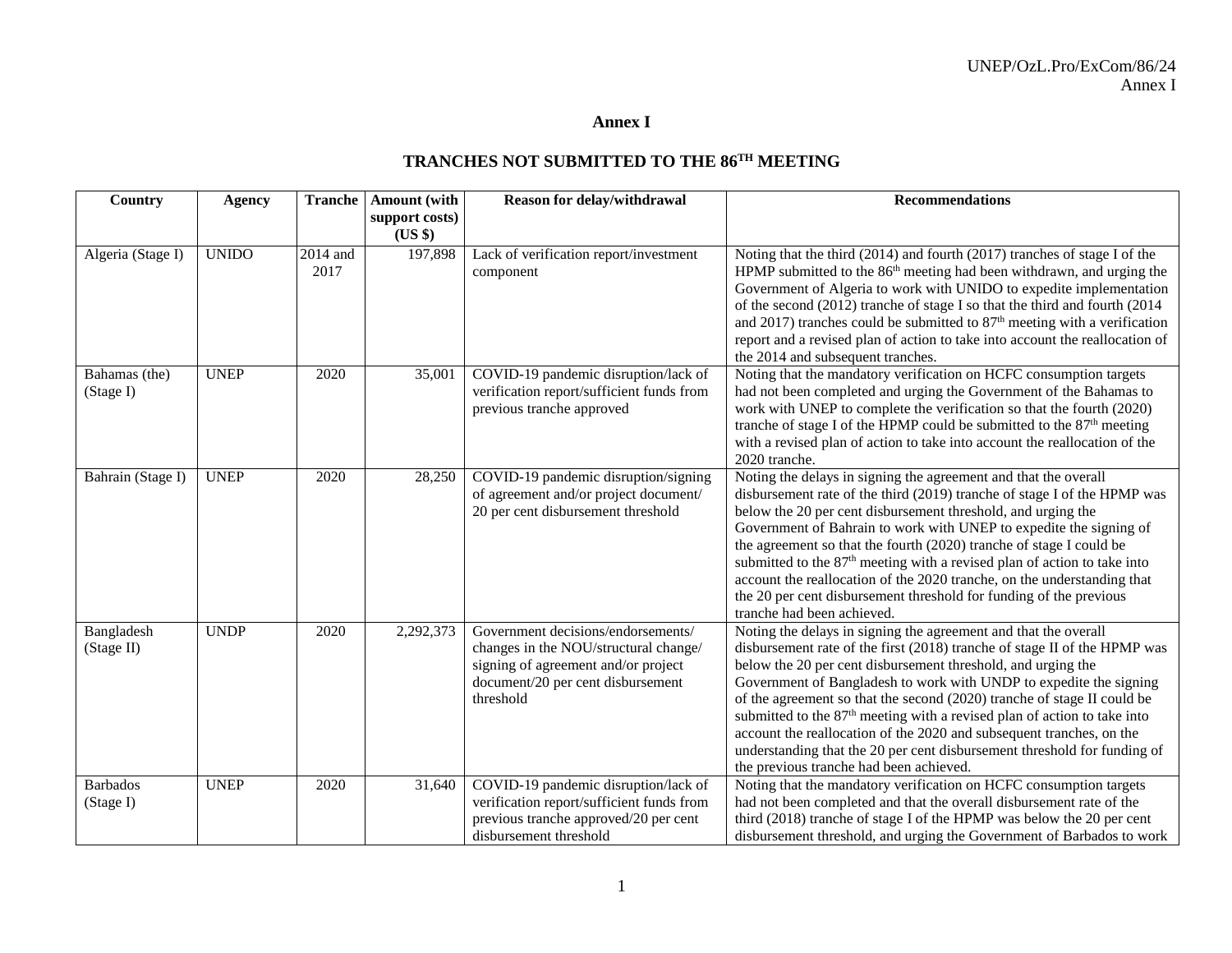# **Annex I**

### **TRANCHES NOT SUBMITTED TO THE 86 TH MEETING**

| Country                      | <b>Agency</b> | <b>Tranche</b>   | Amount (with              | Reason for delay/withdrawal                                                                                                                                          | <b>Recommendations</b>                                                                                                                                                                                                                                                                                                                                                                                                                                                                                                                                                                                                                               |
|------------------------------|---------------|------------------|---------------------------|----------------------------------------------------------------------------------------------------------------------------------------------------------------------|------------------------------------------------------------------------------------------------------------------------------------------------------------------------------------------------------------------------------------------------------------------------------------------------------------------------------------------------------------------------------------------------------------------------------------------------------------------------------------------------------------------------------------------------------------------------------------------------------------------------------------------------------|
|                              |               |                  | support costs)<br>$(US \$ |                                                                                                                                                                      |                                                                                                                                                                                                                                                                                                                                                                                                                                                                                                                                                                                                                                                      |
| Algeria (Stage I)            | <b>UNIDO</b>  | 2014 and<br>2017 | 197,898                   | Lack of verification report/investment<br>component                                                                                                                  | Noting that the third (2014) and fourth (2017) tranches of stage I of the<br>HPMP submitted to the 86 <sup>th</sup> meeting had been withdrawn, and urging the<br>Government of Algeria to work with UNIDO to expedite implementation<br>of the second (2012) tranche of stage I so that the third and fourth (2014<br>and 2017) tranches could be submitted to $87th$ meeting with a verification<br>report and a revised plan of action to take into account the reallocation of<br>the 2014 and subsequent tranches.                                                                                                                              |
| Bahamas (the)<br>(Stage I)   | <b>UNEP</b>   | 2020             | 35,001                    | COVID-19 pandemic disruption/lack of<br>verification report/sufficient funds from<br>previous tranche approved                                                       | Noting that the mandatory verification on HCFC consumption targets<br>had not been completed and urging the Government of the Bahamas to<br>work with UNEP to complete the verification so that the fourth (2020)<br>tranche of stage I of the HPMP could be submitted to the 87 <sup>th</sup> meeting<br>with a revised plan of action to take into account the reallocation of the<br>2020 tranche.                                                                                                                                                                                                                                                |
| Bahrain (Stage I)            | <b>UNEP</b>   | 2020             | 28,250                    | COVID-19 pandemic disruption/signing<br>of agreement and/or project document/<br>20 per cent disbursement threshold                                                  | Noting the delays in signing the agreement and that the overall<br>disbursement rate of the third (2019) tranche of stage I of the HPMP was<br>below the 20 per cent disbursement threshold, and urging the<br>Government of Bahrain to work with UNEP to expedite the signing of<br>the agreement so that the fourth (2020) tranche of stage I could be<br>submitted to the 87 <sup>th</sup> meeting with a revised plan of action to take into<br>account the reallocation of the 2020 tranche, on the understanding that<br>the 20 per cent disbursement threshold for funding of the previous<br>tranche had been achieved.                      |
| Bangladesh<br>(Stage II)     | <b>UNDP</b>   | 2020             | 2,292,373                 | Government decisions/endorsements/<br>changes in the NOU/structural change/<br>signing of agreement and/or project<br>document/20 per cent disbursement<br>threshold | Noting the delays in signing the agreement and that the overall<br>disbursement rate of the first (2018) tranche of stage II of the HPMP was<br>below the 20 per cent disbursement threshold, and urging the<br>Government of Bangladesh to work with UNDP to expedite the signing<br>of the agreement so that the second (2020) tranche of stage II could be<br>submitted to the 87 <sup>th</sup> meeting with a revised plan of action to take into<br>account the reallocation of the 2020 and subsequent tranches, on the<br>understanding that the 20 per cent disbursement threshold for funding of<br>the previous tranche had been achieved. |
| <b>Barbados</b><br>(Stage I) | <b>UNEP</b>   | 2020             | 31,640                    | COVID-19 pandemic disruption/lack of<br>verification report/sufficient funds from<br>previous tranche approved/20 per cent<br>disbursement threshold                 | Noting that the mandatory verification on HCFC consumption targets<br>had not been completed and that the overall disbursement rate of the<br>third (2018) tranche of stage I of the HPMP was below the 20 per cent<br>disbursement threshold, and urging the Government of Barbados to work                                                                                                                                                                                                                                                                                                                                                         |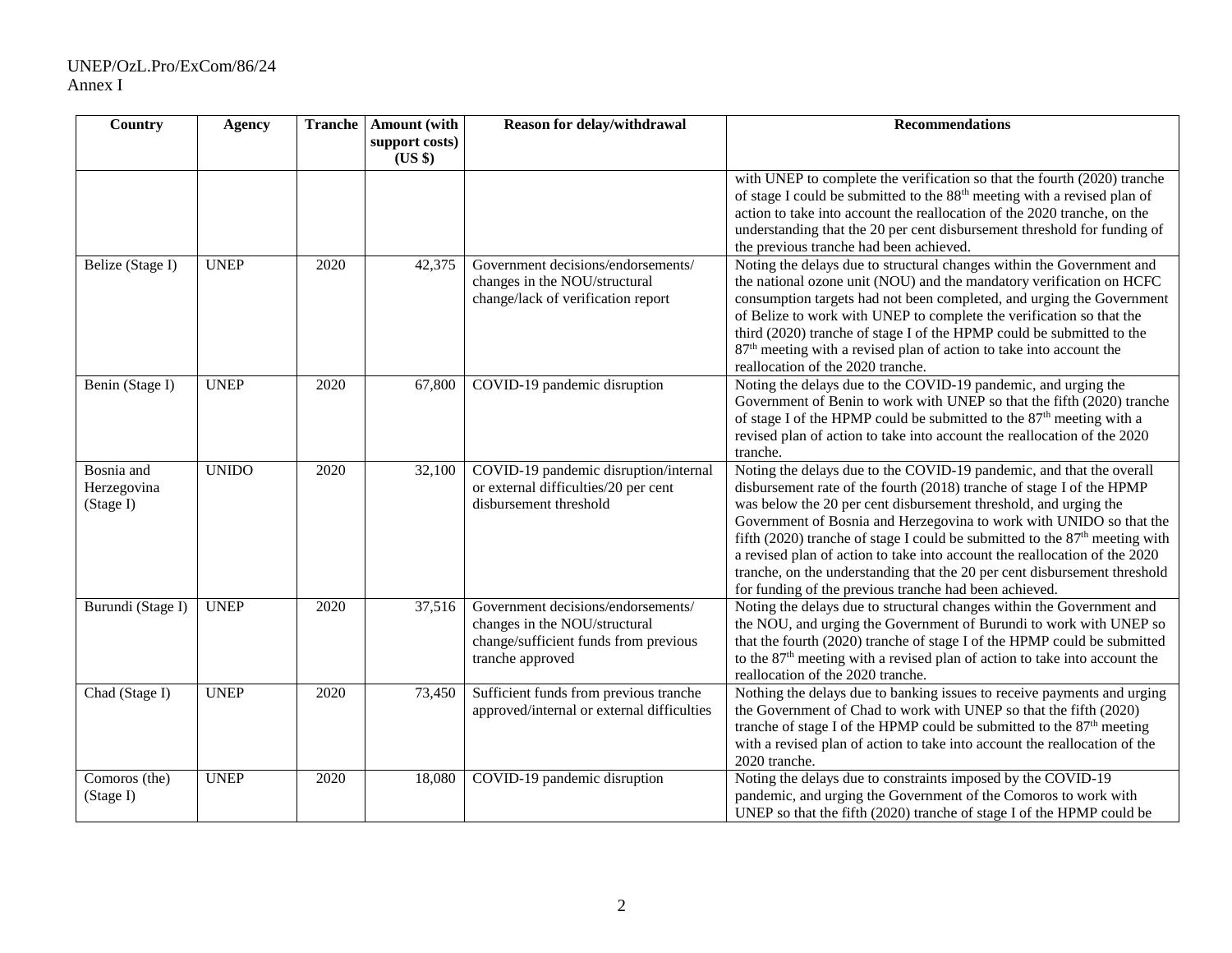| Country                                | <b>Agency</b> |      | <b>Tranche</b>   Amount (with | Reason for delay/withdrawal                                                                                                      | <b>Recommendations</b>                                                                                                                                                                                                                                                                                                                                                                                                                                                                                                                                                                         |
|----------------------------------------|---------------|------|-------------------------------|----------------------------------------------------------------------------------------------------------------------------------|------------------------------------------------------------------------------------------------------------------------------------------------------------------------------------------------------------------------------------------------------------------------------------------------------------------------------------------------------------------------------------------------------------------------------------------------------------------------------------------------------------------------------------------------------------------------------------------------|
|                                        |               |      | support costs)<br>(US \$)     |                                                                                                                                  |                                                                                                                                                                                                                                                                                                                                                                                                                                                                                                                                                                                                |
|                                        |               |      |                               |                                                                                                                                  | with UNEP to complete the verification so that the fourth (2020) tranche<br>of stage I could be submitted to the 88 <sup>th</sup> meeting with a revised plan of<br>action to take into account the reallocation of the 2020 tranche, on the<br>understanding that the 20 per cent disbursement threshold for funding of<br>the previous tranche had been achieved.                                                                                                                                                                                                                            |
| Belize (Stage I)                       | <b>UNEP</b>   | 2020 | 42,375                        | Government decisions/endorsements/<br>changes in the NOU/structural<br>change/lack of verification report                        | Noting the delays due to structural changes within the Government and<br>the national ozone unit (NOU) and the mandatory verification on HCFC<br>consumption targets had not been completed, and urging the Government<br>of Belize to work with UNEP to complete the verification so that the<br>third (2020) tranche of stage I of the HPMP could be submitted to the<br>87 <sup>th</sup> meeting with a revised plan of action to take into account the<br>reallocation of the 2020 tranche.                                                                                                |
| Benin (Stage I)                        | <b>UNEP</b>   | 2020 | 67,800                        | COVID-19 pandemic disruption                                                                                                     | Noting the delays due to the COVID-19 pandemic, and urging the<br>Government of Benin to work with UNEP so that the fifth (2020) tranche<br>of stage I of the HPMP could be submitted to the 87 <sup>th</sup> meeting with a<br>revised plan of action to take into account the reallocation of the 2020<br>tranche.                                                                                                                                                                                                                                                                           |
| Bosnia and<br>Herzegovina<br>(Stage I) | <b>UNIDO</b>  | 2020 | 32,100                        | COVID-19 pandemic disruption/internal<br>or external difficulties/20 per cent<br>disbursement threshold                          | Noting the delays due to the COVID-19 pandemic, and that the overall<br>disbursement rate of the fourth (2018) tranche of stage I of the HPMP<br>was below the 20 per cent disbursement threshold, and urging the<br>Government of Bosnia and Herzegovina to work with UNIDO so that the<br>fifth (2020) tranche of stage I could be submitted to the $87th$ meeting with<br>a revised plan of action to take into account the reallocation of the 2020<br>tranche, on the understanding that the 20 per cent disbursement threshold<br>for funding of the previous tranche had been achieved. |
| Burundi (Stage I)                      | <b>UNEP</b>   | 2020 | 37,516                        | Government decisions/endorsements/<br>changes in the NOU/structural<br>change/sufficient funds from previous<br>tranche approved | Noting the delays due to structural changes within the Government and<br>the NOU, and urging the Government of Burundi to work with UNEP so<br>that the fourth (2020) tranche of stage I of the HPMP could be submitted<br>to the 87 <sup>th</sup> meeting with a revised plan of action to take into account the<br>reallocation of the 2020 tranche.                                                                                                                                                                                                                                         |
| Chad (Stage I)                         | <b>UNEP</b>   | 2020 | 73,450                        | Sufficient funds from previous tranche<br>approved/internal or external difficulties                                             | Nothing the delays due to banking issues to receive payments and urging<br>the Government of Chad to work with UNEP so that the fifth (2020)<br>tranche of stage I of the HPMP could be submitted to the 87 <sup>th</sup> meeting<br>with a revised plan of action to take into account the reallocation of the<br>2020 tranche.                                                                                                                                                                                                                                                               |
| Comoros (the)<br>(Stage I)             | <b>UNEP</b>   | 2020 | 18,080                        | COVID-19 pandemic disruption                                                                                                     | Noting the delays due to constraints imposed by the COVID-19<br>pandemic, and urging the Government of the Comoros to work with<br>UNEP so that the fifth (2020) tranche of stage I of the HPMP could be                                                                                                                                                                                                                                                                                                                                                                                       |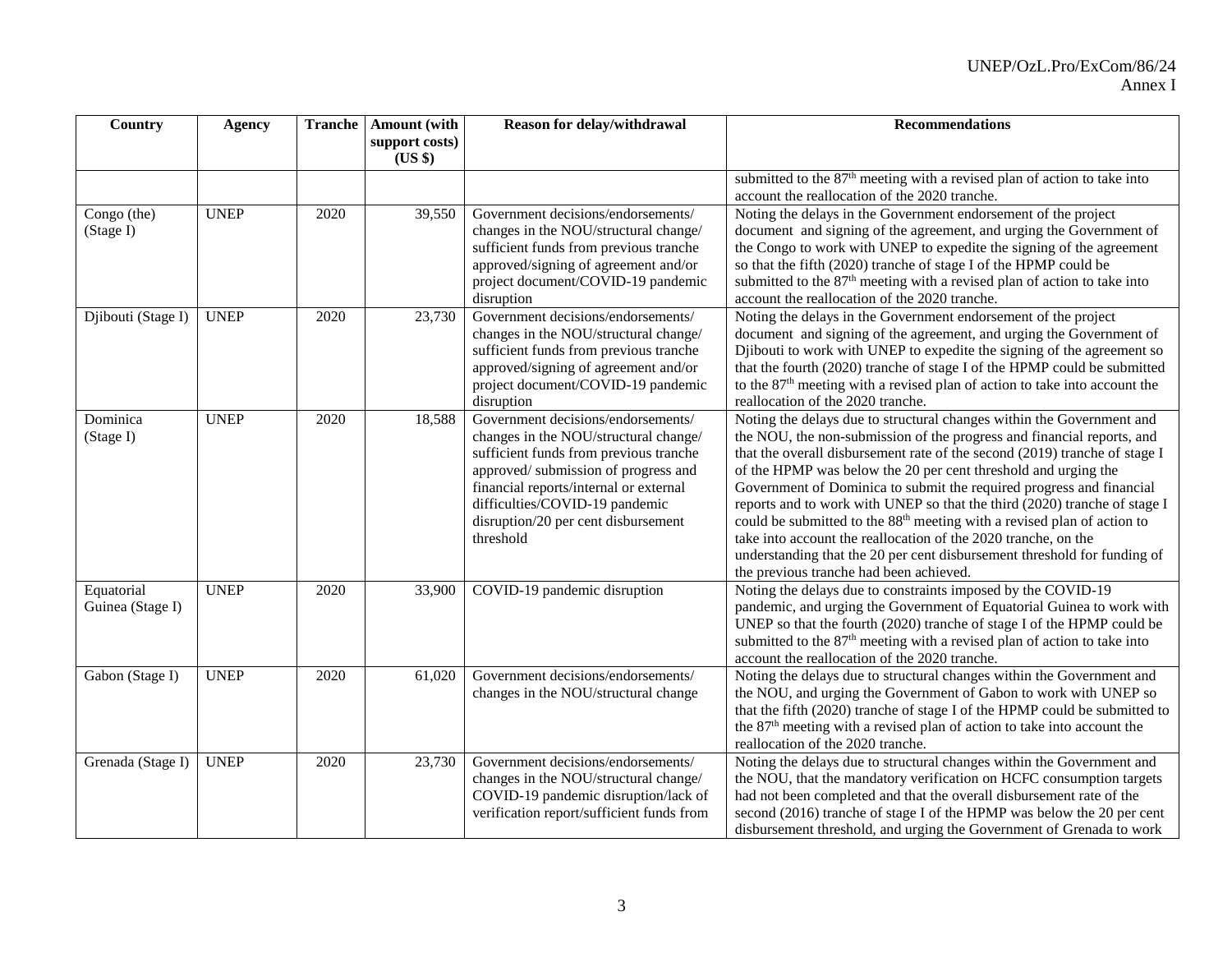| Country                        | <b>Agency</b> | <b>Tranche</b> | Amount (with              | Reason for delay/withdrawal                                                                                                                                                                                                                                                                  | <b>Recommendations</b>                                                                                                                                                                                                                                                                                                                                                                                                                                                                                                                                                                                                                                                                                                               |
|--------------------------------|---------------|----------------|---------------------------|----------------------------------------------------------------------------------------------------------------------------------------------------------------------------------------------------------------------------------------------------------------------------------------------|--------------------------------------------------------------------------------------------------------------------------------------------------------------------------------------------------------------------------------------------------------------------------------------------------------------------------------------------------------------------------------------------------------------------------------------------------------------------------------------------------------------------------------------------------------------------------------------------------------------------------------------------------------------------------------------------------------------------------------------|
|                                |               |                | support costs)<br>(US \$) |                                                                                                                                                                                                                                                                                              |                                                                                                                                                                                                                                                                                                                                                                                                                                                                                                                                                                                                                                                                                                                                      |
|                                |               |                |                           |                                                                                                                                                                                                                                                                                              | submitted to the 87 <sup>th</sup> meeting with a revised plan of action to take into                                                                                                                                                                                                                                                                                                                                                                                                                                                                                                                                                                                                                                                 |
|                                |               |                |                           |                                                                                                                                                                                                                                                                                              | account the reallocation of the 2020 tranche.                                                                                                                                                                                                                                                                                                                                                                                                                                                                                                                                                                                                                                                                                        |
| Congo (the)<br>(Stage I)       | <b>UNEP</b>   | 2020           | 39,550                    | Government decisions/endorsements/<br>changes in the NOU/structural change/<br>sufficient funds from previous tranche<br>approved/signing of agreement and/or<br>project document/COVID-19 pandemic                                                                                          | Noting the delays in the Government endorsement of the project<br>document and signing of the agreement, and urging the Government of<br>the Congo to work with UNEP to expedite the signing of the agreement<br>so that the fifth (2020) tranche of stage I of the HPMP could be<br>submitted to the 87 <sup>th</sup> meeting with a revised plan of action to take into                                                                                                                                                                                                                                                                                                                                                            |
|                                |               |                |                           | disruption                                                                                                                                                                                                                                                                                   | account the reallocation of the 2020 tranche.                                                                                                                                                                                                                                                                                                                                                                                                                                                                                                                                                                                                                                                                                        |
| Djibouti (Stage I)             | <b>UNEP</b>   | 2020           | 23,730                    | Government decisions/endorsements/<br>changes in the NOU/structural change/<br>sufficient funds from previous tranche<br>approved/signing of agreement and/or<br>project document/COVID-19 pandemic<br>disruption                                                                            | Noting the delays in the Government endorsement of the project<br>document and signing of the agreement, and urging the Government of<br>Djibouti to work with UNEP to expedite the signing of the agreement so<br>that the fourth (2020) tranche of stage I of the HPMP could be submitted<br>to the 87 <sup>th</sup> meeting with a revised plan of action to take into account the<br>reallocation of the 2020 tranche.                                                                                                                                                                                                                                                                                                           |
| Dominica<br>(Stage I)          | <b>UNEP</b>   | 2020           | 18,588                    | Government decisions/endorsements/<br>changes in the NOU/structural change/<br>sufficient funds from previous tranche<br>approved/submission of progress and<br>financial reports/internal or external<br>difficulties/COVID-19 pandemic<br>disruption/20 per cent disbursement<br>threshold | Noting the delays due to structural changes within the Government and<br>the NOU, the non-submission of the progress and financial reports, and<br>that the overall disbursement rate of the second (2019) tranche of stage I<br>of the HPMP was below the 20 per cent threshold and urging the<br>Government of Dominica to submit the required progress and financial<br>reports and to work with UNEP so that the third (2020) tranche of stage I<br>could be submitted to the 88 <sup>th</sup> meeting with a revised plan of action to<br>take into account the reallocation of the 2020 tranche, on the<br>understanding that the 20 per cent disbursement threshold for funding of<br>the previous tranche had been achieved. |
| Equatorial<br>Guinea (Stage I) | <b>UNEP</b>   | 2020           | 33,900                    | COVID-19 pandemic disruption                                                                                                                                                                                                                                                                 | Noting the delays due to constraints imposed by the COVID-19<br>pandemic, and urging the Government of Equatorial Guinea to work with<br>UNEP so that the fourth (2020) tranche of stage I of the HPMP could be<br>submitted to the 87 <sup>th</sup> meeting with a revised plan of action to take into<br>account the reallocation of the 2020 tranche.                                                                                                                                                                                                                                                                                                                                                                             |
| Gabon (Stage I)                | <b>UNEP</b>   | 2020           | 61,020                    | Government decisions/endorsements/<br>changes in the NOU/structural change                                                                                                                                                                                                                   | Noting the delays due to structural changes within the Government and<br>the NOU, and urging the Government of Gabon to work with UNEP so<br>that the fifth (2020) tranche of stage I of the HPMP could be submitted to<br>the 87 <sup>th</sup> meeting with a revised plan of action to take into account the<br>reallocation of the 2020 tranche.                                                                                                                                                                                                                                                                                                                                                                                  |
| Grenada (Stage I)              | <b>UNEP</b>   | 2020           | 23,730                    | Government decisions/endorsements/<br>changes in the NOU/structural change/<br>COVID-19 pandemic disruption/lack of<br>verification report/sufficient funds from                                                                                                                             | Noting the delays due to structural changes within the Government and<br>the NOU, that the mandatory verification on HCFC consumption targets<br>had not been completed and that the overall disbursement rate of the<br>second (2016) tranche of stage I of the HPMP was below the 20 per cent<br>disbursement threshold, and urging the Government of Grenada to work                                                                                                                                                                                                                                                                                                                                                              |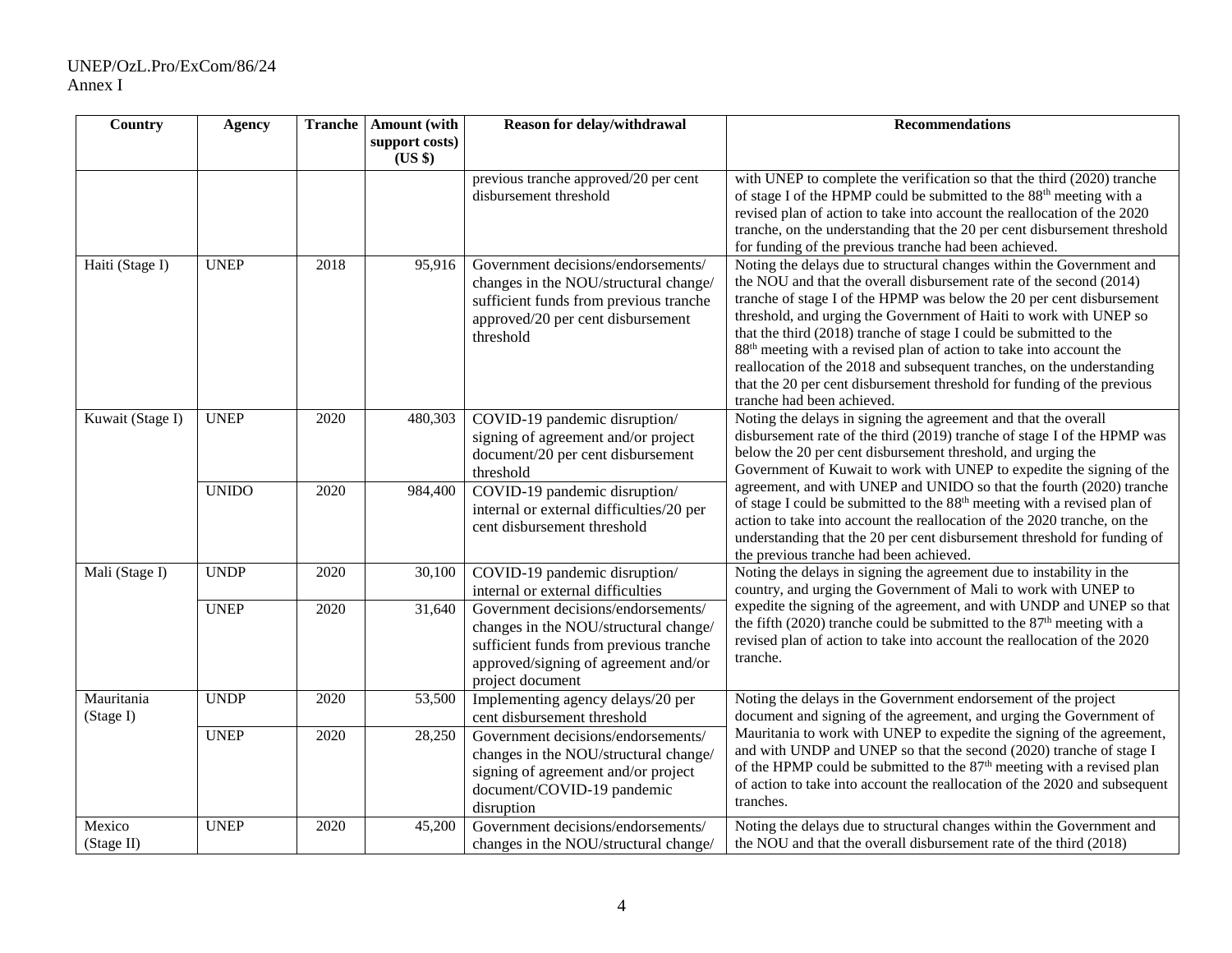| Country                 | <b>Agency</b> |      | <b>Tranche</b>   Amount (with<br>support costs)<br>(US \$) | Reason for delay/withdrawal                                                                                                                                                       | <b>Recommendations</b>                                                                                                                                                                                                                                                                                                                                                                                                                                                                                                                                                                                                                                  |
|-------------------------|---------------|------|------------------------------------------------------------|-----------------------------------------------------------------------------------------------------------------------------------------------------------------------------------|---------------------------------------------------------------------------------------------------------------------------------------------------------------------------------------------------------------------------------------------------------------------------------------------------------------------------------------------------------------------------------------------------------------------------------------------------------------------------------------------------------------------------------------------------------------------------------------------------------------------------------------------------------|
|                         |               |      |                                                            | previous tranche approved/20 per cent<br>disbursement threshold                                                                                                                   | with UNEP to complete the verification so that the third (2020) tranche<br>of stage I of the HPMP could be submitted to the 88 <sup>th</sup> meeting with a<br>revised plan of action to take into account the reallocation of the 2020<br>tranche, on the understanding that the 20 per cent disbursement threshold<br>for funding of the previous tranche had been achieved.                                                                                                                                                                                                                                                                          |
| Haiti (Stage I)         | <b>UNEP</b>   | 2018 | 95,916                                                     | Government decisions/endorsements/<br>changes in the NOU/structural change/<br>sufficient funds from previous tranche<br>approved/20 per cent disbursement<br>threshold           | Noting the delays due to structural changes within the Government and<br>the NOU and that the overall disbursement rate of the second (2014)<br>tranche of stage I of the HPMP was below the 20 per cent disbursement<br>threshold, and urging the Government of Haiti to work with UNEP so<br>that the third (2018) tranche of stage I could be submitted to the<br>88 <sup>th</sup> meeting with a revised plan of action to take into account the<br>reallocation of the 2018 and subsequent tranches, on the understanding<br>that the 20 per cent disbursement threshold for funding of the previous<br>tranche had been achieved.                 |
| Kuwait (Stage I)        | <b>UNEP</b>   | 2020 | 480,303                                                    | COVID-19 pandemic disruption/<br>signing of agreement and/or project<br>document/20 per cent disbursement<br>threshold                                                            | Noting the delays in signing the agreement and that the overall<br>disbursement rate of the third (2019) tranche of stage I of the HPMP was<br>below the 20 per cent disbursement threshold, and urging the<br>Government of Kuwait to work with UNEP to expedite the signing of the<br>agreement, and with UNEP and UNIDO so that the fourth (2020) tranche<br>of stage I could be submitted to the 88 <sup>th</sup> meeting with a revised plan of<br>action to take into account the reallocation of the 2020 tranche, on the<br>understanding that the 20 per cent disbursement threshold for funding of<br>the previous tranche had been achieved. |
|                         | <b>UNIDO</b>  | 2020 | 984,400                                                    | COVID-19 pandemic disruption/<br>internal or external difficulties/20 per<br>cent disbursement threshold                                                                          |                                                                                                                                                                                                                                                                                                                                                                                                                                                                                                                                                                                                                                                         |
| Mali (Stage I)          | <b>UNDP</b>   | 2020 | 30,100                                                     | COVID-19 pandemic disruption/<br>internal or external difficulties                                                                                                                | Noting the delays in signing the agreement due to instability in the<br>country, and urging the Government of Mali to work with UNEP to                                                                                                                                                                                                                                                                                                                                                                                                                                                                                                                 |
|                         | <b>UNEP</b>   | 2020 | 31,640                                                     | Government decisions/endorsements/<br>changes in the NOU/structural change/<br>sufficient funds from previous tranche<br>approved/signing of agreement and/or<br>project document | expedite the signing of the agreement, and with UNDP and UNEP so that<br>the fifth (2020) tranche could be submitted to the $87th$ meeting with a<br>revised plan of action to take into account the reallocation of the 2020<br>tranche.                                                                                                                                                                                                                                                                                                                                                                                                               |
| Mauritania<br>(Stage I) | <b>UNDP</b>   | 2020 | 53,500                                                     | Implementing agency delays/20 per<br>cent disbursement threshold                                                                                                                  | Noting the delays in the Government endorsement of the project<br>document and signing of the agreement, and urging the Government of                                                                                                                                                                                                                                                                                                                                                                                                                                                                                                                   |
|                         | <b>UNEP</b>   | 2020 | 28,250                                                     | Government decisions/endorsements/<br>changes in the NOU/structural change/<br>signing of agreement and/or project<br>document/COVID-19 pandemic<br>disruption                    | Mauritania to work with UNEP to expedite the signing of the agreement,<br>and with UNDP and UNEP so that the second (2020) tranche of stage I<br>of the HPMP could be submitted to the 87 <sup>th</sup> meeting with a revised plan<br>of action to take into account the reallocation of the 2020 and subsequent<br>tranches.                                                                                                                                                                                                                                                                                                                          |
| Mexico<br>(Stage II)    | <b>UNEP</b>   | 2020 | 45,200                                                     | Government decisions/endorsements/<br>changes in the NOU/structural change/                                                                                                       | Noting the delays due to structural changes within the Government and<br>the NOU and that the overall disbursement rate of the third (2018)                                                                                                                                                                                                                                                                                                                                                                                                                                                                                                             |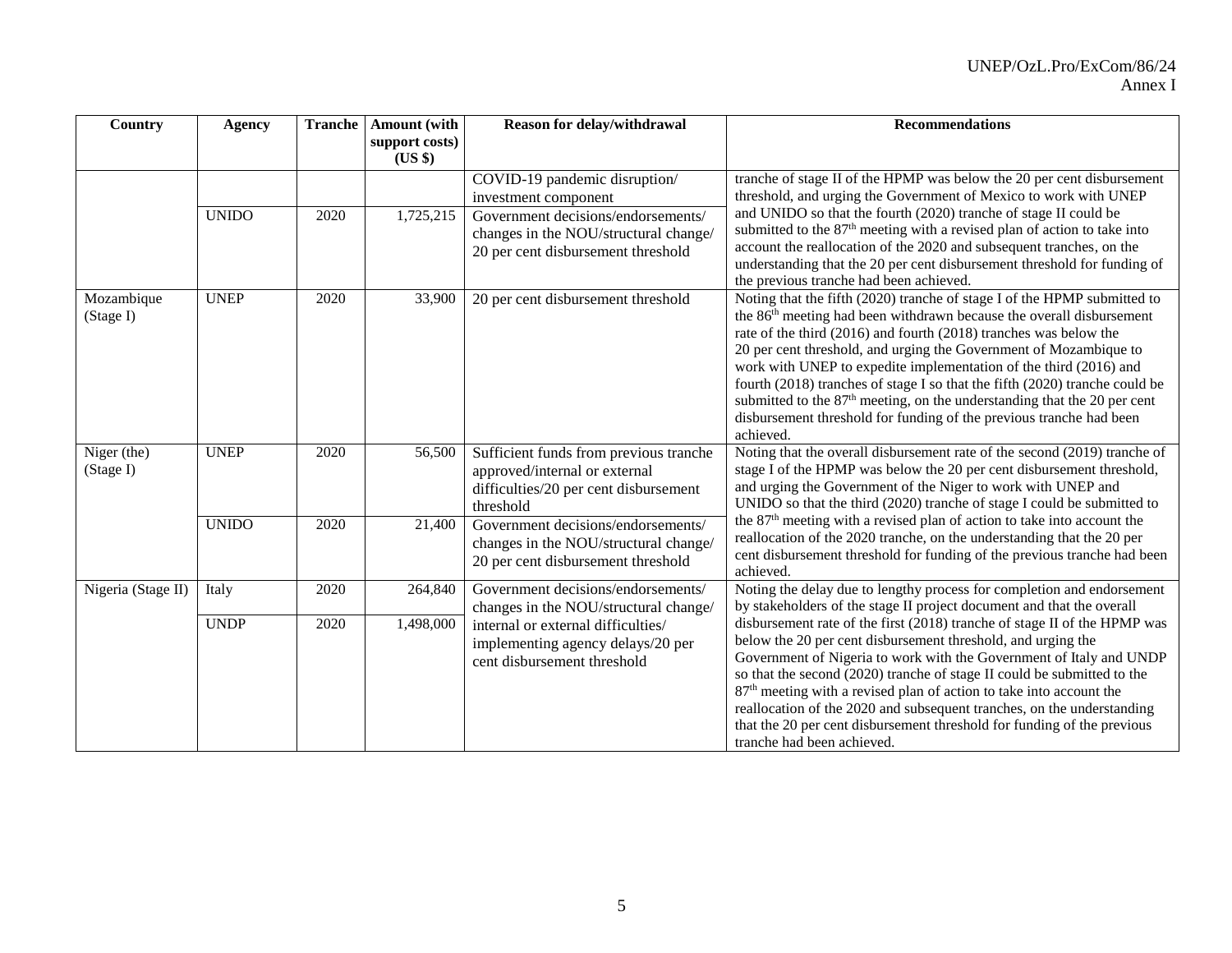| Country                  | <b>Agency</b>        | <b>Tranche</b> | <b>Amount</b> (with<br>support costs)<br>(US \$) | Reason for delay/withdrawal                                                                                                                                                           | <b>Recommendations</b>                                                                                                                                                                                                                                                                                                                                                                                                                                                                                                                                                                                                                                                                                               |
|--------------------------|----------------------|----------------|--------------------------------------------------|---------------------------------------------------------------------------------------------------------------------------------------------------------------------------------------|----------------------------------------------------------------------------------------------------------------------------------------------------------------------------------------------------------------------------------------------------------------------------------------------------------------------------------------------------------------------------------------------------------------------------------------------------------------------------------------------------------------------------------------------------------------------------------------------------------------------------------------------------------------------------------------------------------------------|
|                          | <b>UNIDO</b>         | 2020           | 1,725,215                                        | COVID-19 pandemic disruption/<br>investment component<br>Government decisions/endorsements/<br>changes in the NOU/structural change/<br>20 per cent disbursement threshold            | tranche of stage II of the HPMP was below the 20 per cent disbursement<br>threshold, and urging the Government of Mexico to work with UNEP<br>and UNIDO so that the fourth (2020) tranche of stage II could be<br>submitted to the 87 <sup>th</sup> meeting with a revised plan of action to take into<br>account the reallocation of the 2020 and subsequent tranches, on the<br>understanding that the 20 per cent disbursement threshold for funding of<br>the previous tranche had been achieved.                                                                                                                                                                                                                |
| Mozambique<br>(Stage I)  | <b>UNEP</b>          | 2020           | 33,900                                           | 20 per cent disbursement threshold                                                                                                                                                    | Noting that the fifth (2020) tranche of stage I of the HPMP submitted to<br>the 86 <sup>th</sup> meeting had been withdrawn because the overall disbursement<br>rate of the third (2016) and fourth (2018) tranches was below the<br>20 per cent threshold, and urging the Government of Mozambique to<br>work with UNEP to expedite implementation of the third (2016) and<br>fourth (2018) tranches of stage I so that the fifth (2020) tranche could be<br>submitted to the 87 <sup>th</sup> meeting, on the understanding that the 20 per cent<br>disbursement threshold for funding of the previous tranche had been<br>achieved.                                                                               |
| Niger (the)<br>(Stage I) | <b>UNEP</b>          | 2020           | 56,500                                           | Sufficient funds from previous tranche<br>approved/internal or external<br>difficulties/20 per cent disbursement<br>threshold                                                         | Noting that the overall disbursement rate of the second (2019) tranche of<br>stage I of the HPMP was below the 20 per cent disbursement threshold,<br>and urging the Government of the Niger to work with UNEP and<br>UNIDO so that the third (2020) tranche of stage I could be submitted to                                                                                                                                                                                                                                                                                                                                                                                                                        |
|                          | <b>UNIDO</b>         | 2020           | 21,400                                           | Government decisions/endorsements/<br>changes in the NOU/structural change/<br>20 per cent disbursement threshold                                                                     | the 87 <sup>th</sup> meeting with a revised plan of action to take into account the<br>reallocation of the 2020 tranche, on the understanding that the 20 per<br>cent disbursement threshold for funding of the previous tranche had been<br>achieved.                                                                                                                                                                                                                                                                                                                                                                                                                                                               |
| Nigeria (Stage II)       | Italy<br><b>UNDP</b> | 2020<br>2020   | 264,840<br>1,498,000                             | Government decisions/endorsements/<br>changes in the NOU/structural change/<br>internal or external difficulties/<br>implementing agency delays/20 per<br>cent disbursement threshold | Noting the delay due to lengthy process for completion and endorsement<br>by stakeholders of the stage II project document and that the overall<br>disbursement rate of the first (2018) tranche of stage II of the HPMP was<br>below the 20 per cent disbursement threshold, and urging the<br>Government of Nigeria to work with the Government of Italy and UNDP<br>so that the second (2020) tranche of stage II could be submitted to the<br>87 <sup>th</sup> meeting with a revised plan of action to take into account the<br>reallocation of the 2020 and subsequent tranches, on the understanding<br>that the 20 per cent disbursement threshold for funding of the previous<br>tranche had been achieved. |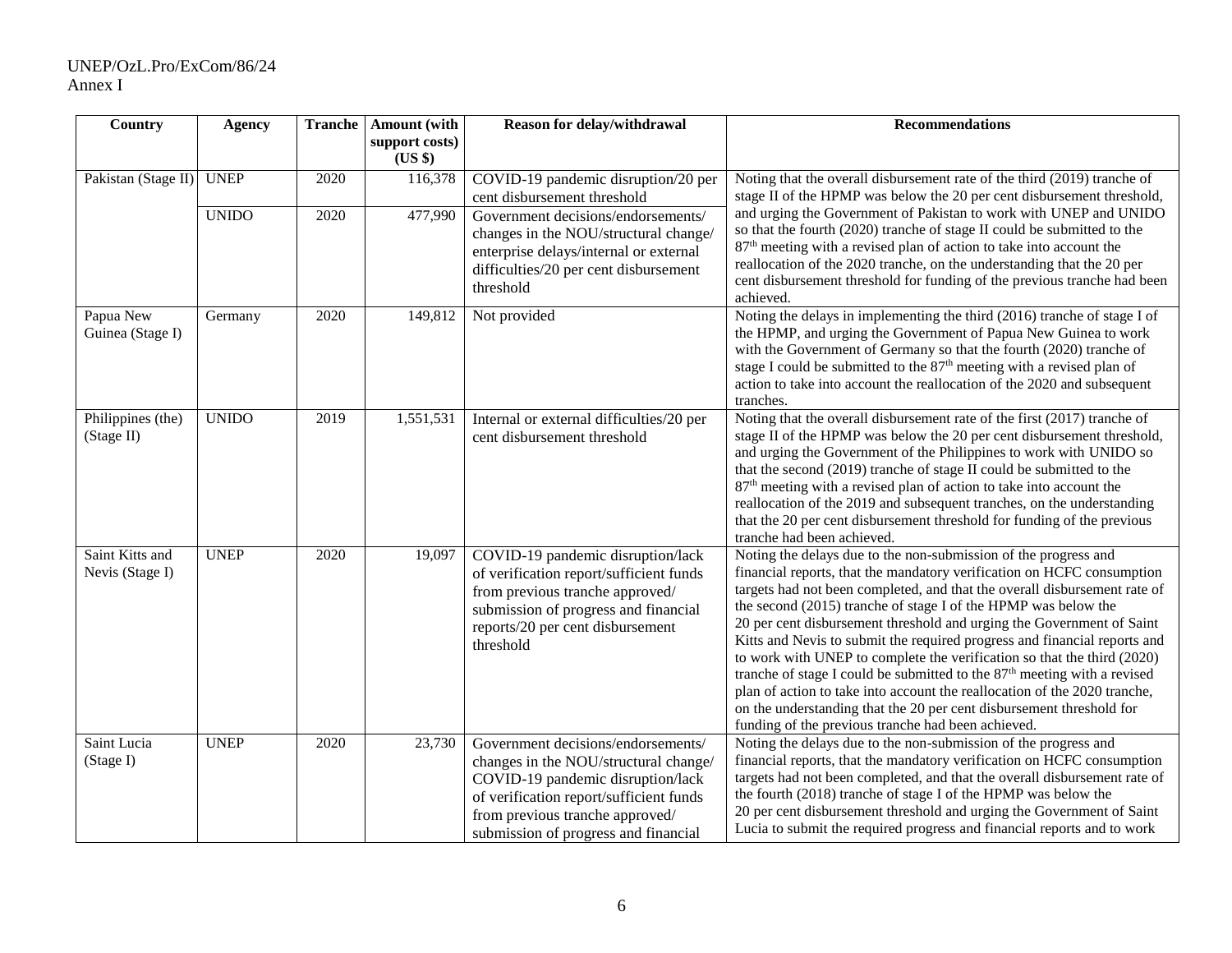# UNEP/OzL.Pro/ExCom/86/24 Annex I

| Country                            | <b>Agency</b> | <b>Tranche</b> | Amount (with<br>support costs)<br>(US \$) | Reason for delay/withdrawal                                                                                                                                                                                                            | <b>Recommendations</b>                                                                                                                                                                                                                                                                                                                                                                                                                                                                                                                                                                                                                                                                                                                                                                                                       |
|------------------------------------|---------------|----------------|-------------------------------------------|----------------------------------------------------------------------------------------------------------------------------------------------------------------------------------------------------------------------------------------|------------------------------------------------------------------------------------------------------------------------------------------------------------------------------------------------------------------------------------------------------------------------------------------------------------------------------------------------------------------------------------------------------------------------------------------------------------------------------------------------------------------------------------------------------------------------------------------------------------------------------------------------------------------------------------------------------------------------------------------------------------------------------------------------------------------------------|
| Pakistan (Stage II)                | <b>UNEP</b>   | 2020           | 116,378                                   | COVID-19 pandemic disruption/20 per<br>cent disbursement threshold                                                                                                                                                                     | Noting that the overall disbursement rate of the third (2019) tranche of<br>stage II of the HPMP was below the 20 per cent disbursement threshold,                                                                                                                                                                                                                                                                                                                                                                                                                                                                                                                                                                                                                                                                           |
|                                    | <b>UNIDO</b>  | 2020           | 477,990                                   | Government decisions/endorsements/<br>changes in the NOU/structural change/<br>enterprise delays/internal or external<br>difficulties/20 per cent disbursement<br>threshold                                                            | and urging the Government of Pakistan to work with UNEP and UNIDO<br>so that the fourth (2020) tranche of stage II could be submitted to the<br>$87th$ meeting with a revised plan of action to take into account the<br>reallocation of the 2020 tranche, on the understanding that the 20 per<br>cent disbursement threshold for funding of the previous tranche had been<br>achieved.                                                                                                                                                                                                                                                                                                                                                                                                                                     |
| Papua New<br>Guinea (Stage I)      | Germany       | 2020           | 149,812                                   | Not provided                                                                                                                                                                                                                           | Noting the delays in implementing the third (2016) tranche of stage I of<br>the HPMP, and urging the Government of Papua New Guinea to work<br>with the Government of Germany so that the fourth (2020) tranche of<br>stage I could be submitted to the 87 <sup>th</sup> meeting with a revised plan of<br>action to take into account the reallocation of the 2020 and subsequent<br>tranches.                                                                                                                                                                                                                                                                                                                                                                                                                              |
| Philippines (the)<br>(Stage II)    | <b>UNIDO</b>  | 2019           | 1,551,531                                 | Internal or external difficulties/20 per<br>cent disbursement threshold                                                                                                                                                                | Noting that the overall disbursement rate of the first (2017) tranche of<br>stage II of the HPMP was below the 20 per cent disbursement threshold,<br>and urging the Government of the Philippines to work with UNIDO so<br>that the second (2019) tranche of stage II could be submitted to the<br>87 <sup>th</sup> meeting with a revised plan of action to take into account the<br>reallocation of the 2019 and subsequent tranches, on the understanding<br>that the 20 per cent disbursement threshold for funding of the previous<br>tranche had been achieved.                                                                                                                                                                                                                                                       |
| Saint Kitts and<br>Nevis (Stage I) | <b>UNEP</b>   | 2020           | 19,097                                    | COVID-19 pandemic disruption/lack<br>of verification report/sufficient funds<br>from previous tranche approved/<br>submission of progress and financial<br>reports/20 per cent disbursement<br>threshold                               | Noting the delays due to the non-submission of the progress and<br>financial reports, that the mandatory verification on HCFC consumption<br>targets had not been completed, and that the overall disbursement rate of<br>the second (2015) tranche of stage I of the HPMP was below the<br>20 per cent disbursement threshold and urging the Government of Saint<br>Kitts and Nevis to submit the required progress and financial reports and<br>to work with UNEP to complete the verification so that the third (2020)<br>tranche of stage I could be submitted to the 87 <sup>th</sup> meeting with a revised<br>plan of action to take into account the reallocation of the 2020 tranche,<br>on the understanding that the 20 per cent disbursement threshold for<br>funding of the previous tranche had been achieved. |
| Saint Lucia<br>(Stage I)           | <b>UNEP</b>   | 2020           | 23,730                                    | Government decisions/endorsements/<br>changes in the NOU/structural change/<br>COVID-19 pandemic disruption/lack<br>of verification report/sufficient funds<br>from previous tranche approved/<br>submission of progress and financial | Noting the delays due to the non-submission of the progress and<br>financial reports, that the mandatory verification on HCFC consumption<br>targets had not been completed, and that the overall disbursement rate of<br>the fourth (2018) tranche of stage I of the HPMP was below the<br>20 per cent disbursement threshold and urging the Government of Saint<br>Lucia to submit the required progress and financial reports and to work                                                                                                                                                                                                                                                                                                                                                                                 |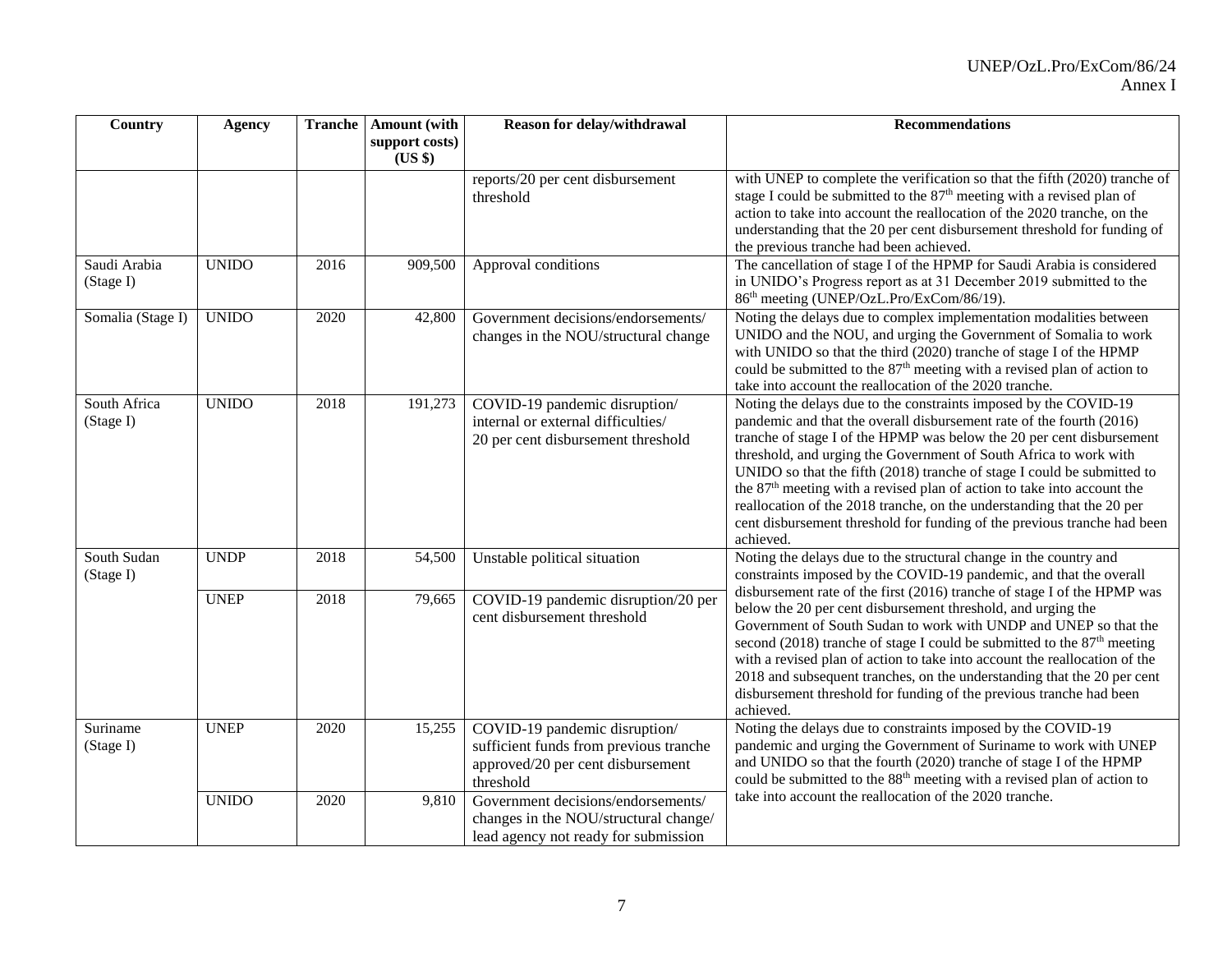| Country                   | <b>Agency</b> | <b>Tranche</b> | <b>Amount</b> (with<br>support costs)<br>(US \$) | Reason for delay/withdrawal                                                                                               | <b>Recommendations</b>                                                                                                                                                                                                                                                                                                                                                                                                                                                                                                                                                                                                      |
|---------------------------|---------------|----------------|--------------------------------------------------|---------------------------------------------------------------------------------------------------------------------------|-----------------------------------------------------------------------------------------------------------------------------------------------------------------------------------------------------------------------------------------------------------------------------------------------------------------------------------------------------------------------------------------------------------------------------------------------------------------------------------------------------------------------------------------------------------------------------------------------------------------------------|
|                           |               |                |                                                  | reports/20 per cent disbursement<br>threshold                                                                             | with UNEP to complete the verification so that the fifth (2020) tranche of<br>stage I could be submitted to the 87 <sup>th</sup> meeting with a revised plan of<br>action to take into account the reallocation of the 2020 tranche, on the<br>understanding that the 20 per cent disbursement threshold for funding of<br>the previous tranche had been achieved.                                                                                                                                                                                                                                                          |
| Saudi Arabia<br>(Stage I) | <b>UNIDO</b>  | 2016           | 909,500                                          | Approval conditions                                                                                                       | The cancellation of stage I of the HPMP for Saudi Arabia is considered<br>in UNIDO's Progress report as at 31 December 2019 submitted to the<br>86 <sup>th</sup> meeting (UNEP/OzL.Pro/ExCom/86/19).                                                                                                                                                                                                                                                                                                                                                                                                                        |
| Somalia (Stage I)         | <b>UNIDO</b>  | 2020           | 42,800                                           | Government decisions/endorsements/<br>changes in the NOU/structural change                                                | Noting the delays due to complex implementation modalities between<br>UNIDO and the NOU, and urging the Government of Somalia to work<br>with UNIDO so that the third (2020) tranche of stage I of the HPMP<br>could be submitted to the 87 <sup>th</sup> meeting with a revised plan of action to<br>take into account the reallocation of the 2020 tranche.                                                                                                                                                                                                                                                               |
| South Africa<br>(Stage I) | <b>UNIDO</b>  | 2018           | 191,273                                          | COVID-19 pandemic disruption/<br>internal or external difficulties/<br>20 per cent disbursement threshold                 | Noting the delays due to the constraints imposed by the COVID-19<br>pandemic and that the overall disbursement rate of the fourth (2016)<br>tranche of stage I of the HPMP was below the 20 per cent disbursement<br>threshold, and urging the Government of South Africa to work with<br>UNIDO so that the fifth (2018) tranche of stage I could be submitted to<br>the 87 <sup>th</sup> meeting with a revised plan of action to take into account the<br>reallocation of the 2018 tranche, on the understanding that the 20 per<br>cent disbursement threshold for funding of the previous tranche had been<br>achieved. |
| South Sudan<br>(Stage I)  | <b>UNDP</b>   | 2018           | 54,500                                           | Unstable political situation                                                                                              | Noting the delays due to the structural change in the country and<br>constraints imposed by the COVID-19 pandemic, and that the overall                                                                                                                                                                                                                                                                                                                                                                                                                                                                                     |
|                           | <b>UNEP</b>   | 2018           | 79,665                                           | COVID-19 pandemic disruption/20 per<br>cent disbursement threshold                                                        | disbursement rate of the first (2016) tranche of stage I of the HPMP was<br>below the 20 per cent disbursement threshold, and urging the<br>Government of South Sudan to work with UNDP and UNEP so that the<br>second (2018) tranche of stage I could be submitted to the $87th$ meeting<br>with a revised plan of action to take into account the reallocation of the<br>2018 and subsequent tranches, on the understanding that the 20 per cent<br>disbursement threshold for funding of the previous tranche had been<br>achieved.                                                                                      |
| Suriname<br>(Stage I)     | <b>UNEP</b>   | 2020           | 15,255                                           | COVID-19 pandemic disruption/<br>sufficient funds from previous tranche<br>approved/20 per cent disbursement<br>threshold | Noting the delays due to constraints imposed by the COVID-19<br>pandemic and urging the Government of Suriname to work with UNEP<br>and UNIDO so that the fourth (2020) tranche of stage I of the HPMP<br>could be submitted to the 88 <sup>th</sup> meeting with a revised plan of action to                                                                                                                                                                                                                                                                                                                               |
|                           | <b>UNIDO</b>  | 2020           | 9,810                                            | Government decisions/endorsements/<br>changes in the NOU/structural change/<br>lead agency not ready for submission       | take into account the reallocation of the 2020 tranche.                                                                                                                                                                                                                                                                                                                                                                                                                                                                                                                                                                     |